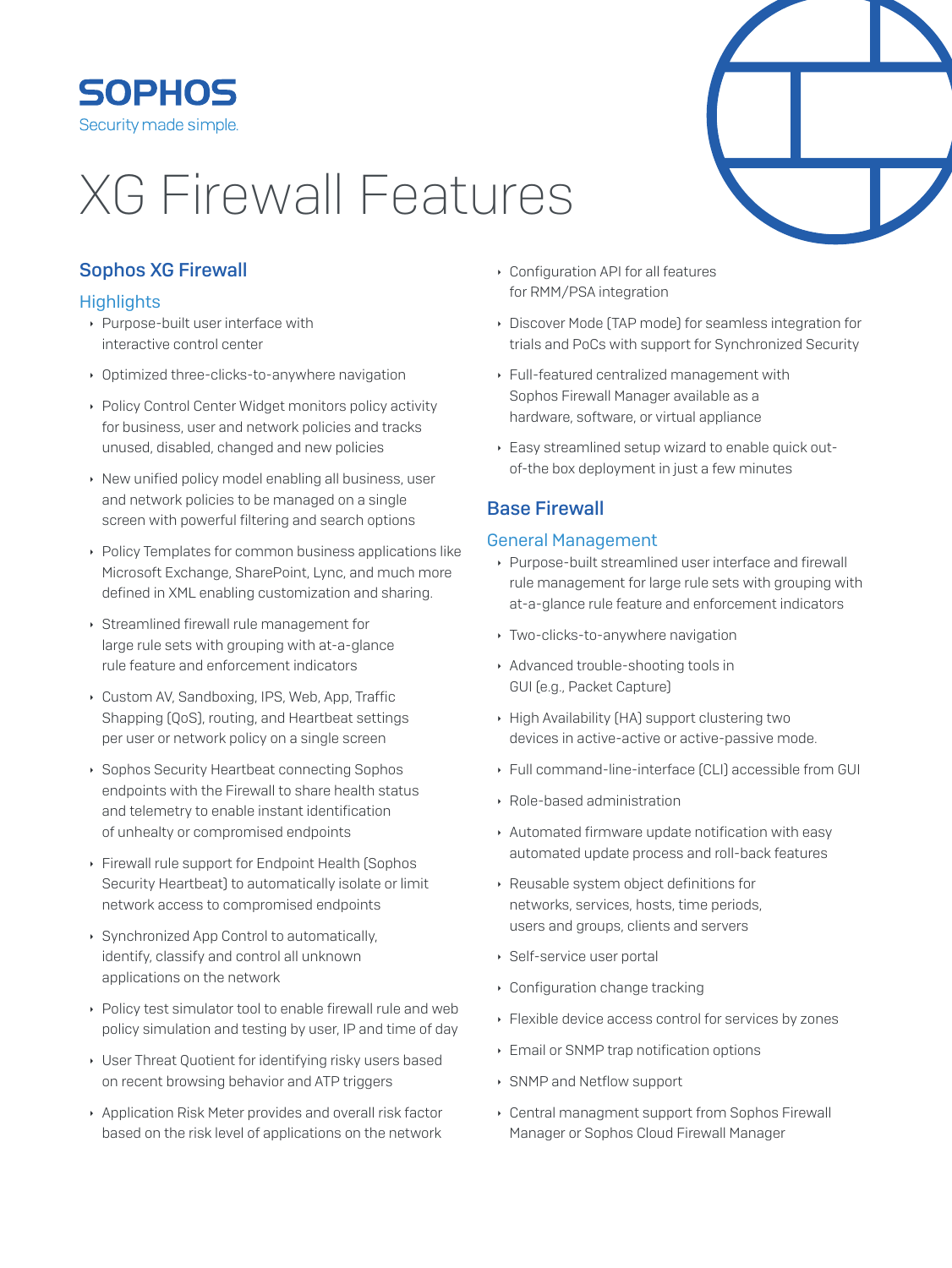# **SOPHOS** Security made simple.

# **XG Firewall Features**

# **Sophos XG Firewall**

# **Highlights**

- ▶ Purpose-built user interface with interactive control center
- Optimized three-clicks-to-anywhere navigation
- ▶ Policy Control Center Widget monitors policy activity for business, user and network policies and tracks unused, disabled, changed and new policies
- New unified policy model enabling all business, user and network policies to be managed on a single screen with powerful filtering and search options
- Policy Templates for common business applications like Microsoft Exchange, SharePoint, Lync, and much more defined in XML enabling customization and sharing.
- Streamlined firewall rule management for large rule sets with grouping with at-a-glance rule feature and enforcement indicators
- Custom AV. Sandboxing, IPS, Web, App. Traffic Shapping (QoS), routing, and Heartbeat settings per user or network policy on a single screen
- ▶ Sophos Security Heartbeat connecting Sophos endpoints with the Firewall to share health status and telemetry to enable instant identification of unhealty or compromised endpoints
- Firewall rule support for Endpoint Health (Sophos Security Heartbeat) to automatically isolate or limit network access to compromised endpoints
- ▶ Synchronized App Control to automatically, identify, classify and control all unknown applications on the network
- ▶ Policy test simulator tool to enable firewall rule and web policy simulation and testing by user, IP and time of day
- User Threat Quotient for identifying risky users based on recent browsing behavior and ATP triggers
- Application Risk Meter provides and overall risk factor based on the risk level of applications on the network
- Configuration API for all features for RMM/PSA integration
- Discover Mode (TAP mode) for seamless integration for trials and PoCs with support for Synchronized Security
- Full-featured centralized management with Sophos Firewall Manager available as a hardware, software, or virtual appliance
- ▶ Easy streamlined setup wizard to enable quick outof-the box deployment in just a few minutes

# **Base Firewall**

# **General Management**

- Purpose-built streamlined user interface and firewall rule management for large rule sets with grouping with at-a-glance rule feature and enforcement indicators
- ▸ Two-clicks-to-anywhere navigation
- Advanced trouble-shooting tools in GUI [e.g., Packet Capture]
- High Availability (HA) support clustering two devices in active-active or active-passive mode.
- Eull command-line-interface (CLI) accessible from GUI
- ▶ Role-based administration
- Automated firmware update notification with easy automated update process and roll-back features
- Reusable system object definitions for networks, services, hosts, time periods, users and groups, clients and servers
- ▶ Self-service user portal
- Configuration change tracking
- ▶ Flexible device access control for services by zones
- Email or SNMP trap notification options
- ▶ SNMP and Netflow support
- ▸ Central managment support from Sophos Firewall Manager or Sophos Cloud Firewall Manager

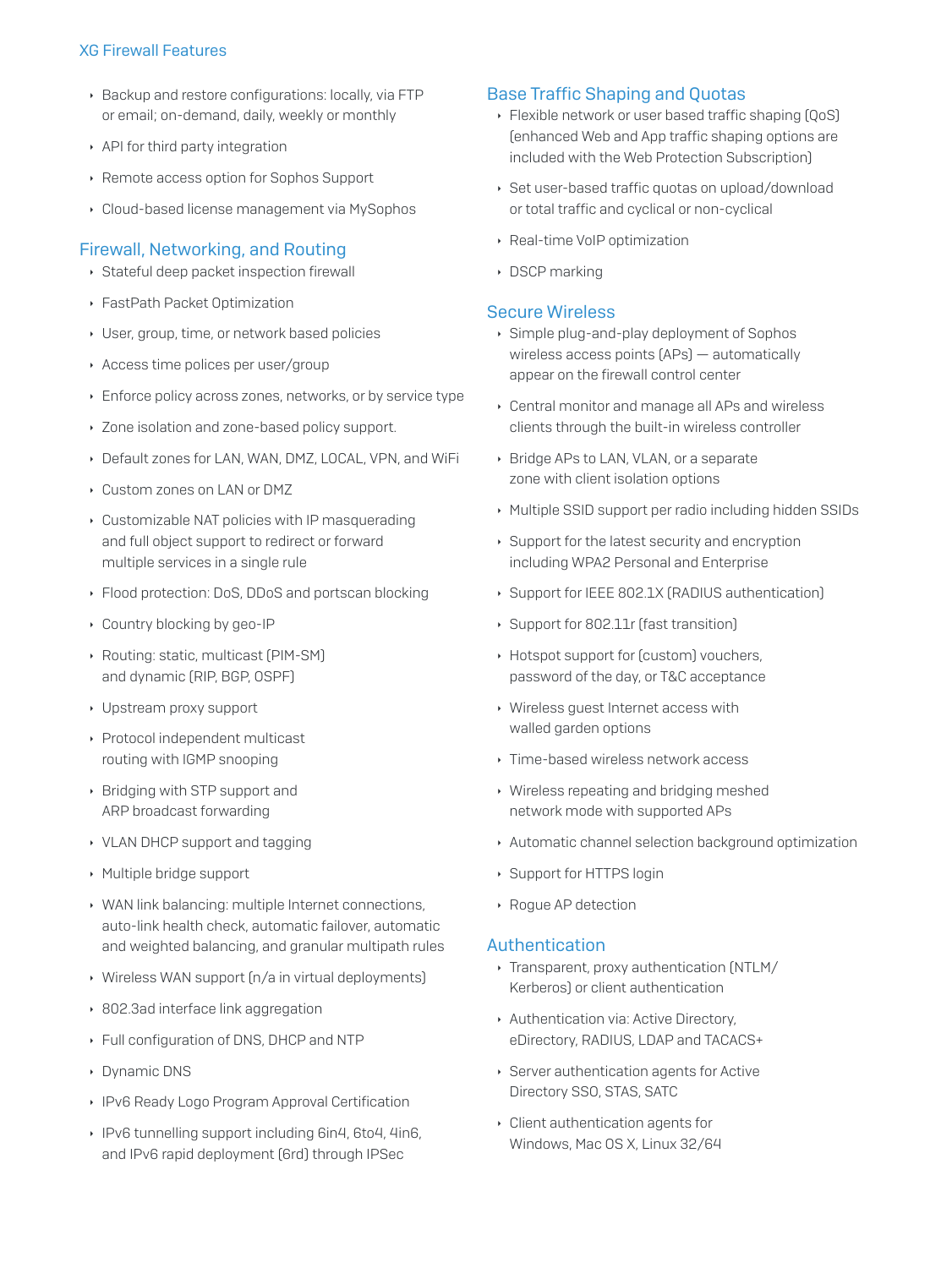- > Backup and restore configurations: locally, via FTP or email; on-demand, daily, weekly or monthly
- API for third party integration
- Remote access option for Sophos Support
- Cloud-based license management via MySophos

## **Firewall, Networking, and Routing**

- Stateful deep packet inspection firewall
- ▶ FastPath Packet Optimization
- User, group, time, or network based policies
- Access time polices per user/group
- Enforce policy across zones, networks, or by service type
- Dividenda Zone-based policy support.
- Default zones for LAN, WAN, DMZ, LOCAL, VPN, and WiFi
- Custom zones on LAN or DMZ
- Customizable NAT policies with IP masquerading and full object support to redirect or forward multiple services in a single rule
- ▶ Flood protection: DoS, DDoS and portscan blocking
- Country blocking by geo-IP
- Routing: static, multicast [PIM-SM] and dynamic (RIP, BGP, OSPF)
- Upstream proxy support
- ▶ Protocol independent multicast routing with IGMP snooping
- ▶ Bridging with STP support and ARP broadcast forwarding
- ▸ VLAN DHCP support and tagging
- Multiple bridge support
- ▶ WAN link balancing: multiple Internet connections. auto-link health check, automatic failover, automatic and weighted balancing, and granular multipath rules
- ▶ Wireless WAN support [n/a in virtual deployments]
- ▶ 802.3ad interface link aggregation
- Full configuration of DNS, DHCP and NTP
- Dynamic DNS
- ▶ IPv6 Ready Logo Program Approval Certification
- ▶ IPv6 tunnelling support including 6in4, 6to4, 4in6, and IPv6 rapid deployment (6rd) through IPSec

## **Base Traffic Shaping and Quotas**

- ▶ Flexible network or user based traffic shaping [QoS] (enhanced Web and App traffic shaping options are included with the Web Protection Subscription]
- ▶ Set user-based traffic quotas on upload/download or total traffic and cyclical or non-cyclical
- ▶ Real-time VoIP optimization
- DSCP marking

#### **Secure Wireless**

- Simple plug-and-play deployment of Sophos wireless access points [APs] - automatically appear on the firewall control center
- ▸ Central monitor and manage all APs and wireless clients through the built-in wireless controller
- > Bridge APs to LAN, VLAN, or a separate zone with client isolation options
- Multiple SSID support per radio including hidden SSIDs
- ▶ Support for the latest security and encryption including WPA2 Personal and Enterprise
- Support for IEEE 802.1X (RADIUS authentication)
- Support for 802.11r (fast transition)
- ▶ Hotspot support for [custom] vouchers, password of the day, or T&C acceptance
- ▶ Wireless guest Internet access with walled garden options
- ▸ Time-based wireless network access
- ▶ Wireless repeating and bridging meshed network mode with supported APs
- Automatic channel selection background optimization
- ▶ Support for HTTPS login
- ▶ Rogue AP detection

## Authentication

- · Transparent, proxy authentication (NTLM/ Kerberos) or client authentication
- Authentication via: Active Directory, eDirectory, RADIUS, LDAP and TACACS+
- ▶ Server authentication agents for Active Directory SSO, STAS, SATC
- Client authentication agents for Windows, Mac OS X, Linux 32/64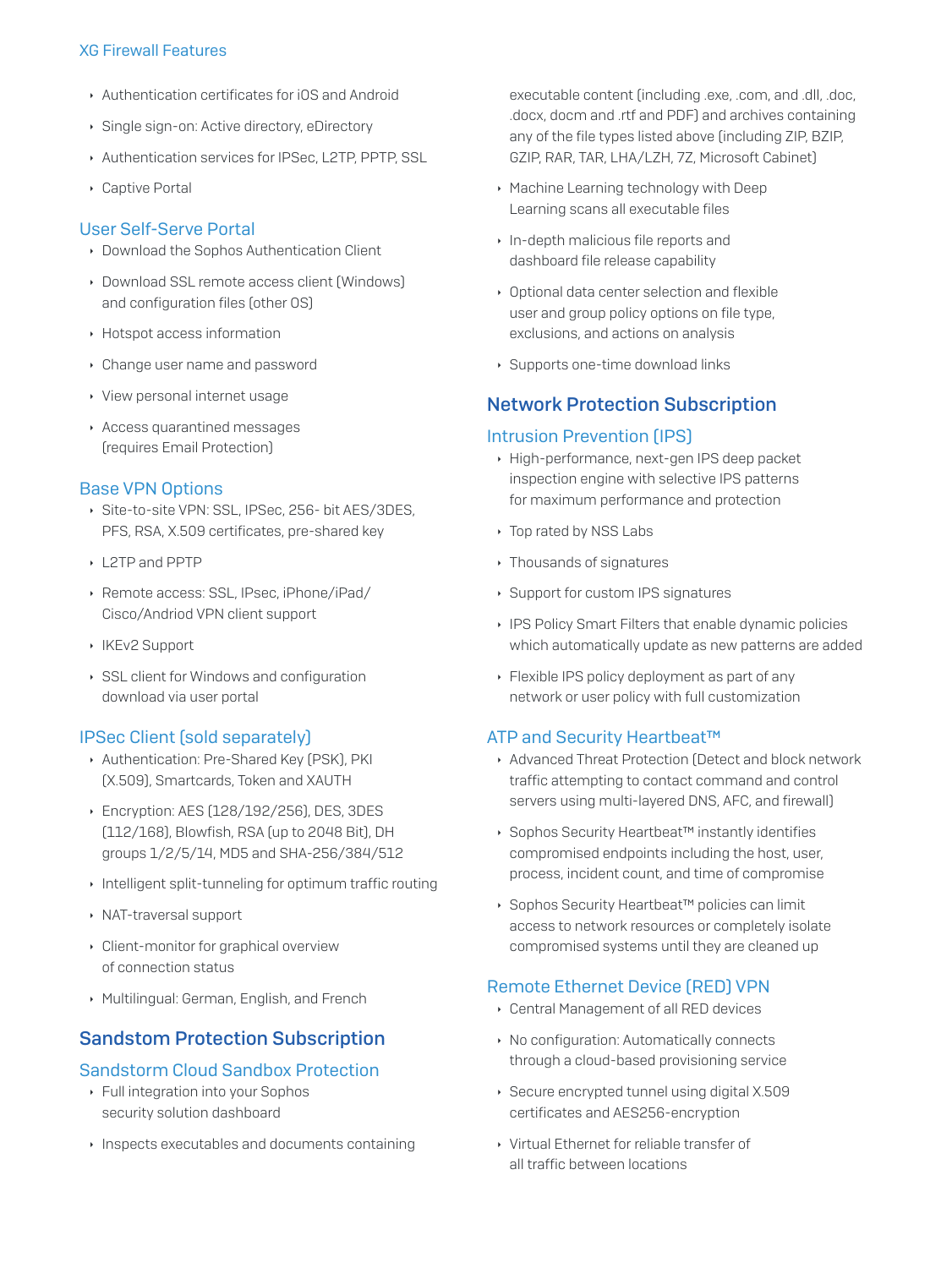- Authentication certificates for iOS and Android
- Single sign-on: Active directory, eDirectory
- Authentication services for IPSec, L2TP, PPTP, SSL
- ▶ Captive Portal

#### **User Self-Serve Portal**

- Download the Sophos Authentication Client
- Download SSL remote access client [Windows] and configuration files (other OS)
- ▶ Hotspot access information
- Change user name and password
- ▸ View personal internet usage
- Access quarantined messages (requires Email Protection)

## **Base VPN Options**

- Site-to-site VPN: SSL, IPSec, 256- bit AES/3DES, PFS, RSA, X.509 certificates, pre-shared key
- ▶ 12TP and PPTP
- ▶ Remote access: SSL, IPsec, iPhone/iPad/ Cisco/Andriod VPN client support
- ▶ IKEv2 Support
- SSL client for Windows and configuration download via user portal

## **IPSec Client (sold separately)**

- Authentication: Pre-Shared Key (PSK), PKI (X.509), Smartcards, Token and XAUTH
- ▶ Encryption: AES (128/192/256), DES, 3DES [112/168], Blowfish, RSA (up to 2048 Bit), DH groups 1/2/5/14, MD5 and SHA-256/384/512
- Intelligent split-tunneling for optimum traffic routing
- ▶ NAT-traversal support
- Client-monitor for graphical overview of connection status
- Multilingual: German, English, and French

# **Sandstom Protection Subscription**

## **Sandstorm Cloud Sandbox Protection**

- ▶ Full integration into your Sophos security solution dashboard
- Inspects executables and documents containing

executable content (including .exe, .com, and .dll, .doc, docx, docm and .rtf and PDF) and archives containing any of the file types listed above (including ZIP, BZIP, GZIP, RAR, TAR, LHA/LZH, 7Z, Microsoft Cabinet)

- ▶ Machine Learning technology with Deep Learning scans all executable files
- In-depth malicious file reports and dashboard file release capability
- Optional data center selection and flexible user and group policy options on file type, exclusions, and actions on analysis
- ▶ Supports one-time download links

# **Network Protection Subscription**

## **Intrusion Prevention (IPS)**

- High-performance, next-gen IPS deep packet inspection engine with selective IPS patterns for maximum performance and protection
- ▸ Top rated by NSS Labs
- ▸ Thousands of signatures
- ▶ Support for custom IPS signatures
- ▶ IPS Policy Smart Filters that enable dynamic policies which automatically update as new patterns are added
- ▶ Flexible IPS policy deployment as part of any network or user policy with full customization

#### ATP and Security Heartbeat™

- Advanced Threat Protection (Detect and block network traffic attempting to contact command and control servers using multi-layered DNS, AFC, and firewall)
- ▶ Sophos Security Heartbeat™ instantly identifies compromised endpoints including the host, user, process, incident count, and time of compromise
- ▶ Sophos Security Heartbeat™ policies can limit access to network resources or completely isolate compromised systems until they are cleaned up

# **Remote Ethernet Device (RED) VPN**

- ▸ Central Management of all RED devices
- ▶ No configuration: Automatically connects through a cloud-based provisioning service
- ▶ Secure encrypted tunnel using digital X.509 certificates and AES256-encryption
- ▶ Virtual Ethernet for reliable transfer of all traffic between locations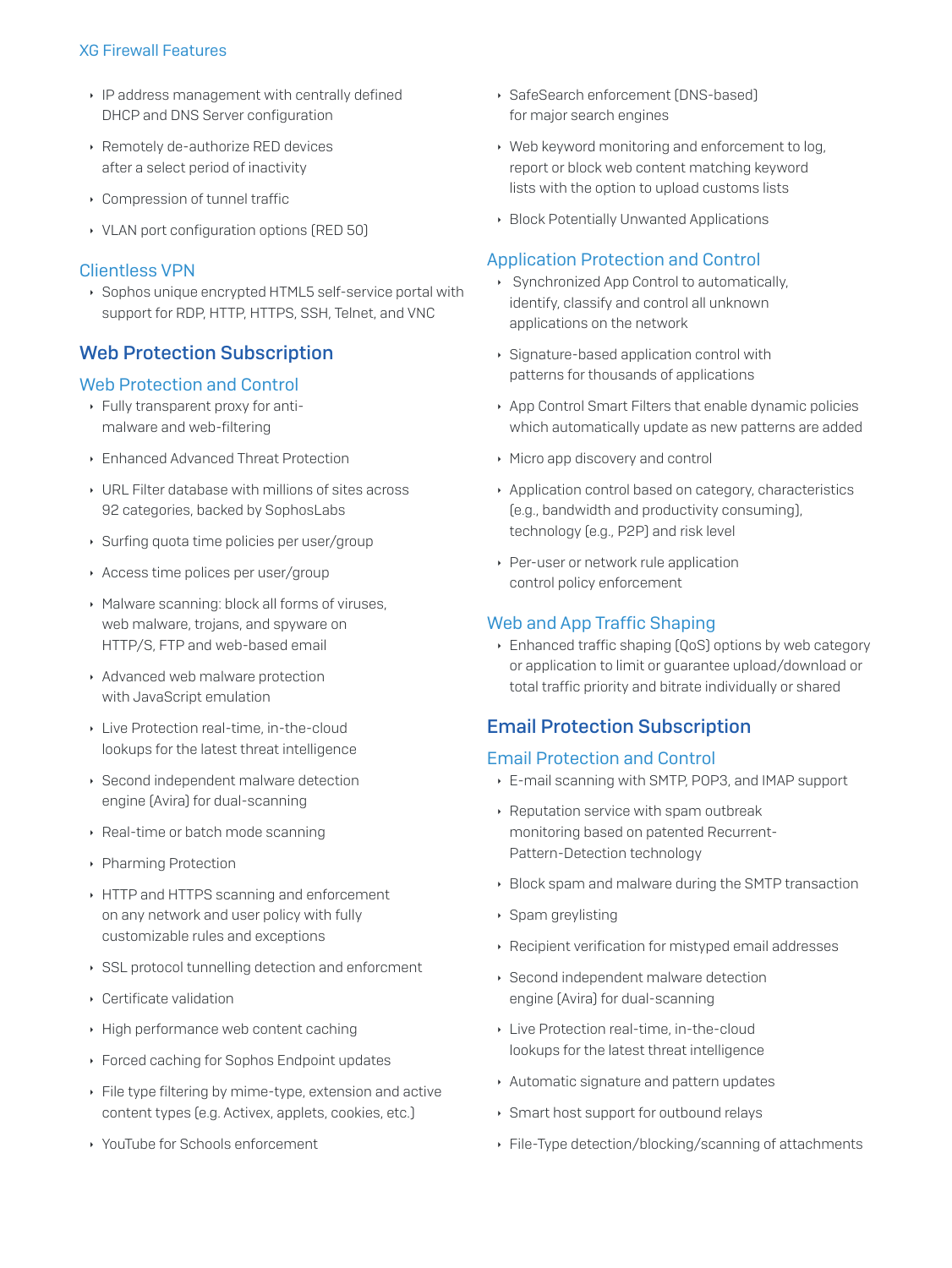- IP address management with centrally defined DHCP and DNS Server configuration
- ▶ Remotely de-authorize RED devices after a select period of inactivity
- Compression of tunnel traffic
- ▸ VLAN port configuration options (RED 50)

#### **Clientless VPN**

▶ Sophos unique encrypted HTML5 self-service portal with support for RDP, HTTP, HTTPS, SSH, Telnet, and VNC

# **Web Protection Subscription**

## **Web Protection and Control**

- Fully transparent proxy for antimalware and web-filtering
- Enhanced Advanced Threat Protection
- ▸ URL Filter database with millions of sites across 92 categories, backed by SophosLabs
- ▶ Surfing quota time policies per user/group
- Access time polices per user/group
- Malware scanning: block all forms of viruses, web malware, trojans, and spyware on HTTP/S, FTP and web-based email
- Advanced web malware protection with JavaScript emulation
- Live Protection real-time, in-the-cloud lookups for the latest threat intelligence
- ▶ Second independent malware detection engine [Avira] for dual-scanning
- ▶ Real-time or batch mode scanning
- ▶ Pharming Protection
- HTTP and HTTPS scanning and enforcement on any network and user policy with fully customizable rules and exceptions
- ▶ SSL protocol tunnelling detection and enforcment
- ▶ Certificate validation
- High performance web content caching
- ▶ Forced caching for Sophos Endpoint updates
- Eile type filtering by mime-type, extension and active content types (e.g. Activex, applets, cookies, etc.)
- ▶ YouTube for Schools enforcement
- SafeSearch enforcement (DNS-based) for major search engines
- Web keyword monitoring and enforcement to log. report or block web content matching keyword lists with the option to upload customs lists
- ▶ Block Potentially Unwanted Applications

## **Application Protection and Control**

- ▶ Synchronized App Control to automatically, identify, classify and control all unknown applications on the network
- Signature-based application control with patterns for thousands of applications
- App Control Smart Filters that enable dynamic policies which automatically update as new patterns are added
- ▶ Micro app discovery and control
- Application control based on category, characteristics (e.g., bandwidth and productivity consuming), technology (e.g., P2P) and risk level
- ▶ Per-user or network rule application control policy enforcement

## Web and App Traffic Shaping

▶ Enhanced traffic shaping [QoS] options by web category or application to limit or guarantee upload/download or total traffic priority and bitrate individually or shared

# **Email Protection Subscription**

## **Email Protection and Control**

- E-mail scanning with SMTP, POP3, and IMAP support
- ▶ Reputation service with spam outbreak monitoring based on patented Recurrent-Pattern-Detection technology
- ▶ Block spam and malware during the SMTP transaction
- ▶ Spam greylisting
- ▶ Recipient verification for mistyped email addresses
- ▶ Second independent malware detection engine (Avira) for dual-scanning
- Live Protection real-time, in-the-cloud lookups for the latest threat intelligence
- Automatic signature and pattern updates
- Smart host support for outbound relays
- ▶ File-Type detection/blocking/scanning of attachments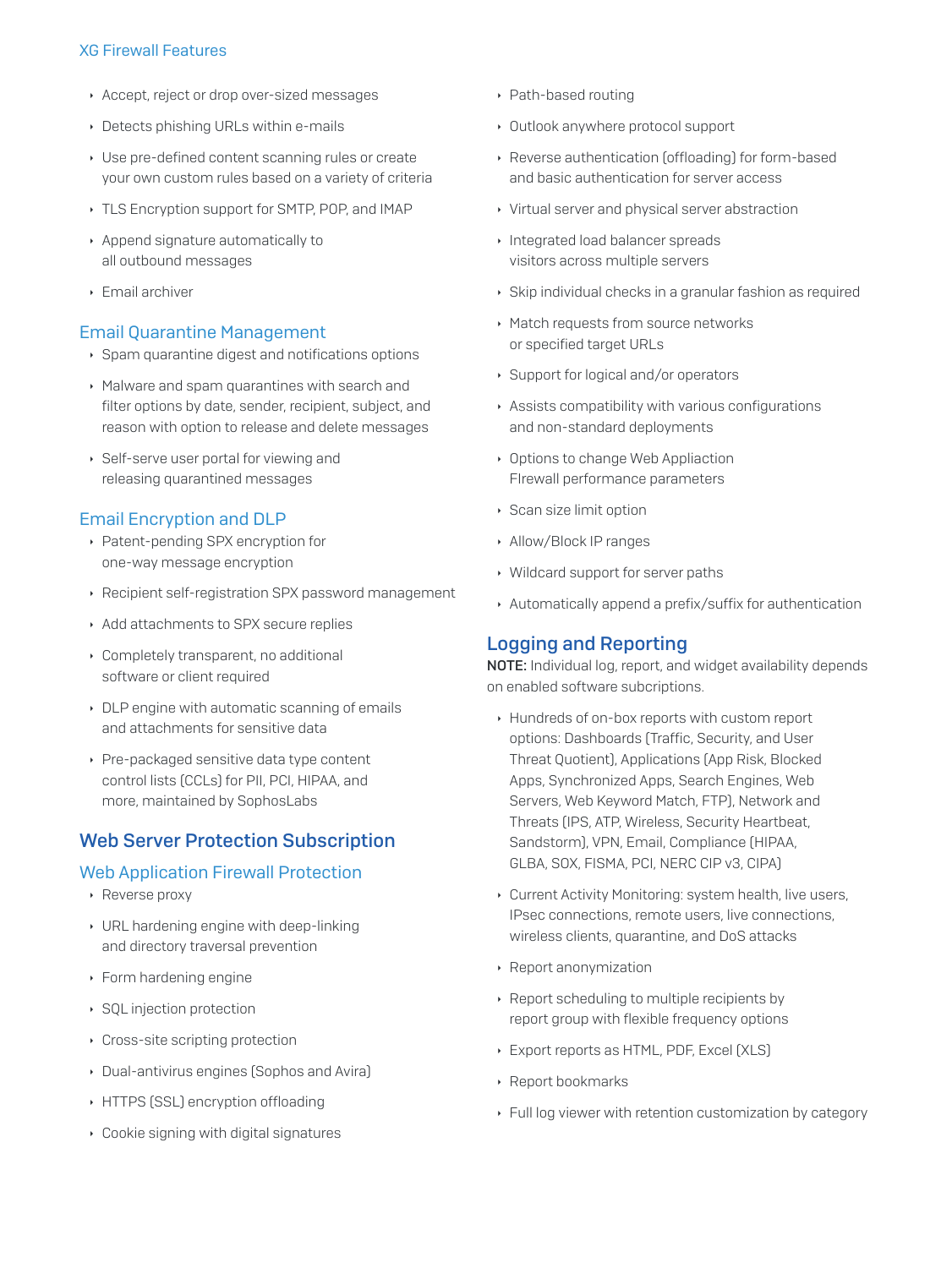- Accept, reject or drop over-sized messages
- Detects phishing URLs within e-mails
- Use pre-defined content scanning rules or create your own custom rules based on a variety of criteria
- ▸ TLS Encryption support for SMTP, POP, and IMAP
- Append signature automatically to all outbound messages
- $\triangleright$  Email archiver

#### **Email Quarantine Management**

- ▶ Spam quarantine digest and notifications options
- Malware and spam quarantines with search and filter options by date, sender, recipient, subject, and reason with option to release and delete messages
- Self-serve user portal for viewing and releasing quarantined messages

#### **Email Encryption and DLP**

- ▶ Patent-pending SPX encryption for one-way message encryption
- Recipient self-registration SPX password management
- Add attachments to SPX secure replies
- Completely transparent, no additional software or client required
- DLP engine with automatic scanning of emails and attachments for sensitive data
- ▶ Pre-packaged sensitive data type content control lists (CCLs) for PII, PCI, HIPAA, and more, maintained by SophosLabs

# **Web Server Protection Subscription**

#### **Web Application Firewall Protection**

- ▶ Reverse proxy
- ▸ URL hardening engine with deep-linking and directory traversal prevention
- ▶ Form hardening engine
- ▶ SQL injection protection
- Cross-site scripting protection
- Dual-antivirus engines (Sophos and Avira)
- HTTPS (SSL) encryption offloading
- Cookie signing with digital signatures
- ▶ Path-based routing
- Outlook anywhere protocol support
- ▶ Reverse authentication [offloading] for form-based and basic authentication for server access
- ▸ Virtual server and physical server abstraction
- Integrated load balancer spreads visitors across multiple servers
- Skip individual checks in a granular fashion as required
- ▶ Match requests from source networks or specified target URLs
- ▶ Support for logical and/or operators
- Assists compatibility with various configurations and non-standard deployments
- Options to change Web Appliaction Firewall performance parameters
- ▶ Scan size limit option
- Allow/Block IP ranges
- ▸ Wildcard support for server paths
- Automatically append a prefix/suffix for authentication

## **Logging and Reporting**

NOTE: Individual log, report, and widget availability depends on enabled software subcriptions.

- Hundreds of on-box reports with custom report options: Dashboards (Traffic, Security, and User Threat Quotient), Applications (App Risk, Blocked Apps, Synchronized Apps, Search Engines, Web Servers, Web Keyword Match, FTP), Network and Threats (IPS, ATP, Wireless, Security Heartbeat, Sandstorm), VPN, Email, Compliance (HIPAA, GLBA, SOX, FISMA, PCI, NERC CIP v3, CIPA)
- Current Activity Monitoring: system health, live users, IPsec connections, remote users, live connections, wireless clients, quarantine, and DoS attacks
- ▶ Report anonymization
- ▶ Report scheduling to multiple recipients by report group with flexible frequency options
- Export reports as HTML, PDF, Excel [XLS]
- ▶ Report bookmarks
- ▶ Full log viewer with retention customization by category